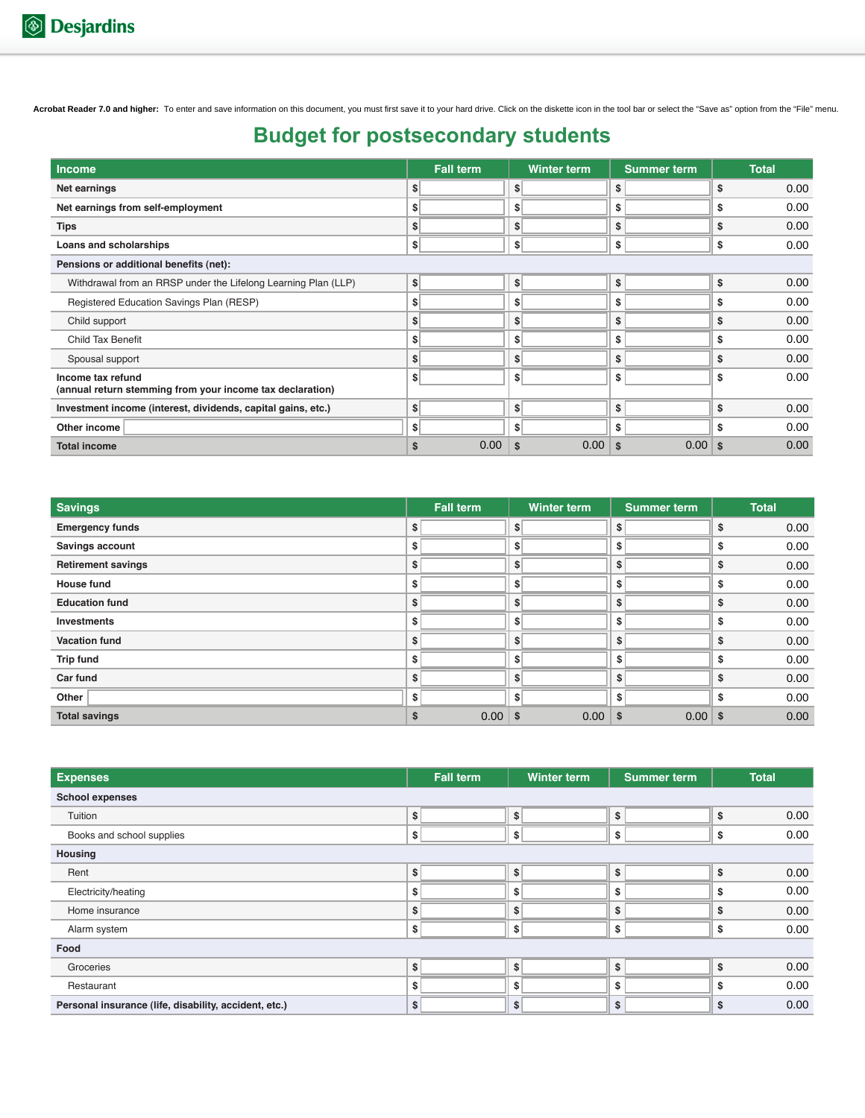## **Budget for postsecondary students**

| <b>Income</b>                                                                  |                          | <b>Fall term</b> |                              | <b>Winter term</b> |               | <b>Summer term</b> |               | <b>Total</b>                 |
|--------------------------------------------------------------------------------|--------------------------|------------------|------------------------------|--------------------|---------------|--------------------|---------------|------------------------------|
| Net earnings                                                                   | \$                       |                  | $\vert \mathsf{s} \vert$     |                    | \$            |                    | \$            | 0.00                         |
| Net earnings from self-employment                                              | \$                       |                  | \$                           |                    | \$            |                    | \$            | 0.00                         |
| <b>Tips</b>                                                                    | \$                       |                  | \$                           |                    | \$            |                    | \$            | 0.00                         |
| Loans and scholarships                                                         | \$                       |                  | $\left  \frac{1}{2} \right $ |                    | \$            |                    | \$            | 0.00                         |
| Pensions or additional benefits (net):                                         |                          |                  |                              |                    |               |                    |               |                              |
| Withdrawal from an RRSP under the Lifelong Learning Plan (LLP)                 | $\left  \cdot \right $   |                  | s                            |                    | \$            |                    | \$            | 0.00                         |
| Registered Education Savings Plan (RESP)                                       | \$                       |                  | \$                           |                    | \$            |                    | \$            | 0.00                         |
| Child support                                                                  | s                        |                  | s                            |                    | \$            |                    | \$            | 0.00                         |
| Child Tax Benefit                                                              | \$                       |                  | \$                           |                    | \$            |                    | \$            | 0.00                         |
| Spousal support                                                                | \$                       |                  | \$                           |                    | \$            |                    | \$            | 0.00                         |
| Income tax refund<br>(annual return stemming from your income tax declaration) | \$                       |                  | \$                           |                    | \$            |                    | \$            | 0.00                         |
| Investment income (interest, dividends, capital gains, etc.)                   | \$                       |                  | \$                           |                    | \$            |                    | \$            | 0.00                         |
| Other income                                                                   | $\vert \mathsf{s} \vert$ |                  | \$                           |                    | \$            |                    | \$            | 0.00                         |
| <b>Total income</b>                                                            | \$                       | 0.00             | \$                           | 0.00               | $\frac{1}{2}$ | $0.00$ s           |               | 0.00                         |
| <b>Savings</b><br><b>Emergency funds</b>                                       | \$                       | <b>Fall term</b> | $\vert \mathsf{s} \vert$     | Winter term        | \$            | <b>Summer term</b> | \$            | <b>Total</b><br>0.00         |
|                                                                                |                          |                  |                              |                    |               |                    |               |                              |
| <b>Savings account</b>                                                         | \$                       |                  | s                            |                    | \$            |                    | \$            | 0.00                         |
| <b>Retirement savings</b>                                                      | \$                       |                  | \$                           |                    | \$            |                    | \$            | 0.00                         |
| <b>House fund</b>                                                              | \$                       |                  | \$                           |                    | \$            |                    | \$            | 0.00                         |
| <b>Education fund</b>                                                          | \$                       |                  | s                            |                    | \$            |                    | \$            | 0.00                         |
| <b>Investments</b>                                                             | \$                       |                  | \$                           |                    | \$            |                    | \$            | 0.00                         |
| <b>Vacation fund</b>                                                           | \$                       |                  | s                            |                    | \$            |                    | \$            | 0.00                         |
| <b>Trip fund</b>                                                               | \$                       |                  | \$                           |                    | \$            |                    | \$            | 0.00                         |
| Car fund                                                                       | \$                       |                  | s                            |                    | \$            |                    | \$            | 0.00                         |
| Other                                                                          | \$                       |                  | \$                           |                    | \$            |                    | \$            | 0.00                         |
| <b>Total savings</b>                                                           | \$                       | 0.00             | \$                           | 0.00               | \$            | 0.00 <sub>1</sub>  | $\frac{1}{2}$ | 0.00                         |
| <b>Expenses</b>                                                                |                          | <b>Fall term</b> |                              | <b>Winter term</b> |               | <b>Summer term</b> |               | <b>Total</b>                 |
| <b>School expenses</b>                                                         |                          |                  |                              |                    |               |                    |               |                              |
| Tuition                                                                        | \$                       |                  | s                            |                    | \$            |                    | \$            | 0.00                         |
|                                                                                | \$                       |                  | \$                           |                    | \$            |                    | \$            | 0.00                         |
|                                                                                |                          |                  |                              |                    |               |                    |               |                              |
| Books and school supplies                                                      |                          |                  |                              |                    |               |                    |               |                              |
|                                                                                |                          |                  |                              |                    |               |                    |               |                              |
| Rent                                                                           | \$                       |                  | \$                           |                    | \$            |                    | \$            |                              |
| Electricity/heating                                                            | \$                       |                  | \$                           |                    | \$            |                    | \$            |                              |
| Home insurance                                                                 | \$                       |                  | \$                           |                    | \$            |                    | \$            |                              |
| Alarm system                                                                   | \$                       |                  | \$                           |                    | \$            |                    | \$            |                              |
|                                                                                |                          |                  |                              |                    |               |                    |               | 0.00<br>0.00<br>0.00<br>0.00 |
| Housing<br>Food<br>Groceries<br>Restaurant                                     | \$<br>\$                 |                  | s<br>\$                      |                    | \$<br>\$      |                    | \$<br>\$      | 0.00<br>0.00                 |

| <b>Savings</b>            | <b>Fall term</b> | <b>Winter term</b> | <b>Summer term</b> | <b>Total</b> |
|---------------------------|------------------|--------------------|--------------------|--------------|
| <b>Emergency funds</b>    | \$               | \$                 | \$                 | 0.00<br>S    |
| Savings account           | \$               | \$                 | \$                 | 0.00<br>S    |
| <b>Retirement savings</b> | \$               | \$                 | \$                 | 0.00<br>S    |
| <b>House fund</b>         | \$               | \$                 | \$                 | 0.00<br>S    |
| <b>Education fund</b>     | \$               | \$                 | \$                 | 0.00<br>S    |
| <b>Investments</b>        | \$               | \$                 | \$                 | 0.00<br>S    |
| <b>Vacation fund</b>      | \$               | \$                 | \$                 | 0.00<br>Ŝ    |
| <b>Trip fund</b>          | \$               | \$                 | \$                 | 0.00<br>Ŝ    |
| Car fund                  | \$               | \$                 | \$                 | 0.00<br>\$   |
| Other                     | Ŝ                | S                  | \$                 | 0.00<br>S    |
| <b>Total savings</b>      | 0.00<br>\$       | 0.00<br>∣\$        | $0.00$ \$<br>-\$   | 0.00         |

| <b>Expenses</b>                                       | <b>Fall term</b> | <b>Winter term</b> | <b>Summer term</b> | <b>Total</b> |      |  |  |  |
|-------------------------------------------------------|------------------|--------------------|--------------------|--------------|------|--|--|--|
| <b>School expenses</b>                                |                  |                    |                    |              |      |  |  |  |
| Tuition                                               | \$               | \$                 | \$                 | \$           | 0.00 |  |  |  |
| Books and school supplies                             | \$               | \$                 | \$                 | \$           | 0.00 |  |  |  |
| Housing                                               |                  |                    |                    |              |      |  |  |  |
| Rent                                                  | \$               | \$                 | \$                 | \$           | 0.00 |  |  |  |
| Electricity/heating                                   | Ŝ                | \$                 | \$                 | S            | 0.00 |  |  |  |
| Home insurance                                        | \$               | \$                 | \$                 | \$           | 0.00 |  |  |  |
| Alarm system                                          | \$               | \$                 | \$                 | \$           | 0.00 |  |  |  |
| Food                                                  |                  |                    |                    |              |      |  |  |  |
| Groceries                                             | \$               | \$                 | \$                 | \$           | 0.00 |  |  |  |
| Restaurant                                            | \$               | \$                 | \$                 | \$           | 0.00 |  |  |  |
| Personal insurance (life, disability, accident, etc.) | \$               | \$                 | \$                 | \$           | 0.00 |  |  |  |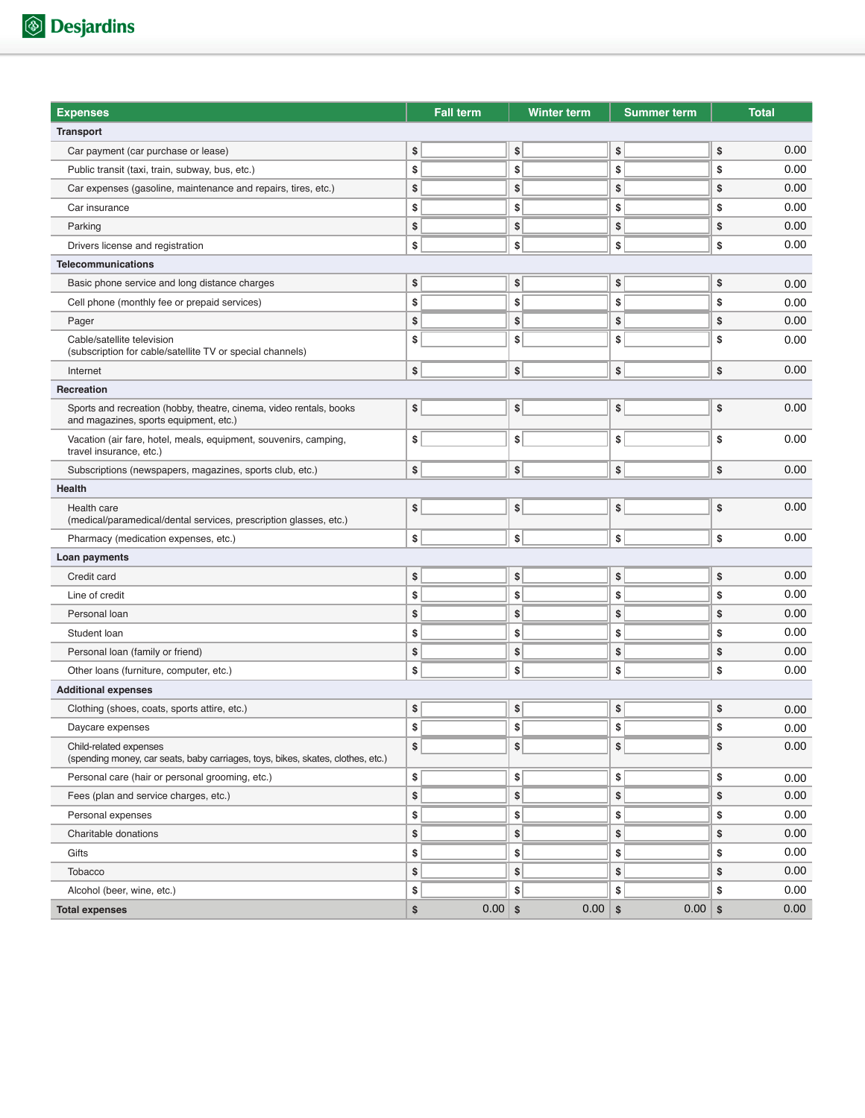| <b>Expenses</b>                                                                                               | <b>Fall term</b> | <b>Winter term</b> |            | <b>Summer term</b> | <b>Total</b> |
|---------------------------------------------------------------------------------------------------------------|------------------|--------------------|------------|--------------------|--------------|
| <b>Transport</b>                                                                                              |                  |                    |            |                    |              |
| Car payment (car purchase or lease)                                                                           | \$               | \$                 | \$         |                    | \$<br>0.00   |
| Public transit (taxi, train, subway, bus, etc.)                                                               | \$               | \$                 | \$         |                    | \$<br>0.00   |
| Car expenses (gasoline, maintenance and repairs, tires, etc.)                                                 | \$               | \$                 | \$         |                    | \$<br>0.00   |
| Car insurance                                                                                                 | \$               | \$                 | \$         |                    | \$<br>0.00   |
| Parking                                                                                                       | \$               | \$                 | \$         |                    | \$<br>0.00   |
| Drivers license and registration                                                                              | \$               | \$                 | \$         |                    | \$<br>0.00   |
| <b>Telecommunications</b>                                                                                     |                  |                    |            |                    |              |
| Basic phone service and long distance charges                                                                 | \$               | \$                 | \$         |                    | \$<br>0.00   |
| Cell phone (monthly fee or prepaid services)                                                                  | \$               | \$                 | \$         |                    | \$<br>0.00   |
| Pager                                                                                                         | \$               | \$                 | \$         |                    | \$<br>0.00   |
| Cable/satellite television<br>(subscription for cable/satellite TV or special channels)                       | \$               | \$                 | \$         |                    | \$<br>0.00   |
| Internet                                                                                                      | \$               | \$                 | \$         |                    | \$<br>0.00   |
| <b>Recreation</b>                                                                                             |                  |                    |            |                    |              |
| Sports and recreation (hobby, theatre, cinema, video rentals, books<br>and magazines, sports equipment, etc.) | \$               | \$                 | \$         |                    | \$<br>0.00   |
| Vacation (air fare, hotel, meals, equipment, souvenirs, camping,<br>travel insurance, etc.)                   | \$               | \$                 | \$         |                    | \$<br>0.00   |
| Subscriptions (newspapers, magazines, sports club, etc.)                                                      | \$               | \$                 | \$         |                    | \$<br>0.00   |
| Health                                                                                                        |                  |                    |            |                    |              |
| Health care<br>(medical/paramedical/dental services, prescription glasses, etc.)                              | \$               | \$                 | \$         |                    | \$<br>0.00   |
| Pharmacy (medication expenses, etc.)                                                                          | \$               | \$                 | \$         |                    | \$<br>0.00   |
| Loan payments                                                                                                 |                  |                    |            |                    |              |
| Credit card                                                                                                   | \$               | \$                 | \$         |                    | \$<br>0.00   |
| Line of credit                                                                                                | \$               | \$                 | \$         |                    | \$<br>0.00   |
| Personal loan                                                                                                 | \$               | \$                 | \$         |                    | \$<br>0.00   |
| Student loan                                                                                                  | \$               | \$                 | \$         |                    | \$<br>0.00   |
| Personal loan (family or friend)                                                                              | \$               | \$                 | \$         |                    | \$<br>0.00   |
| Other loans (furniture, computer, etc.)                                                                       | \$               | \$                 | \$         |                    | \$<br>0.00   |
| <b>Additional expenses</b>                                                                                    |                  |                    |            |                    |              |
| Clothing (shoes, coats, sports attire, etc.)                                                                  | \$               | \$                 | \$         |                    | \$<br>0.00   |
| Daycare expenses                                                                                              | \$               | \$                 | \$         |                    | \$<br>0.00   |
| Child-related expenses<br>(spending money, car seats, baby carriages, toys, bikes, skates, clothes, etc.)     | \$               | \$                 | \$         |                    | \$<br>0.00   |
| Personal care (hair or personal grooming, etc.)                                                               | \$               | \$                 | \$         |                    | \$<br>0.00   |
| Fees (plan and service charges, etc.)                                                                         | \$               | \$                 | \$         |                    | \$<br>0.00   |
| Personal expenses                                                                                             | \$               | \$                 | \$         |                    | \$<br>0.00   |
| Charitable donations                                                                                          | \$               | \$                 | \$         |                    | \$<br>0.00   |
| Gifts                                                                                                         | \$               | \$                 | \$         |                    | \$<br>0.00   |
| Tobacco                                                                                                       | \$               | \$                 | \$         |                    | \$<br>0.00   |
| Alcohol (beer, wine, etc.)                                                                                    | \$               | \$                 | \$         |                    | \$<br>0.00   |
| <b>Total expenses</b>                                                                                         | \$<br>$0.00$ \$  | 0.00               | $\vert$ \$ | 0.00               | \$<br>0.00   |